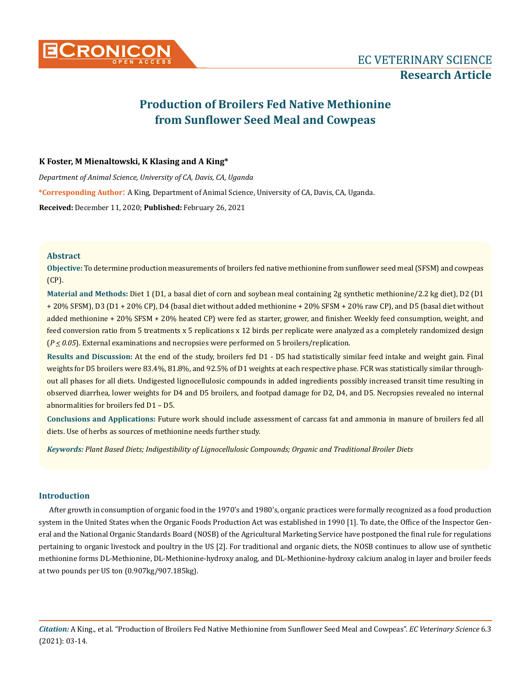

# **Production of Broilers Fed Native Methionine from Sunflower Seed Meal and Cowpeas**

# **K Foster, M Mienaltowski, K Klasing and A King\***

*Department of Animal Science, University of CA, Davis, CA, Uganda* **\*Corresponding Author**: A King, Department of Animal Science, University of CA, Davis, CA, Uganda. **Received:** December 11, 2020; **Published:** February 26, 2021

# **Abstract**

**Objective:** To determine production measurements of broilers fed native methionine from sunflower seed meal (SFSM) and cowpeas (CP).

**Material and Methods:** Diet 1 (D1, a basal diet of corn and soybean meal containing 2g synthetic methionine/2.2 kg diet), D2 (D1 + 20% SFSM), D3 (D1 + 20% CP), D4 (basal diet without added methionine + 20% SFSM + 20% raw CP), and D5 (basal diet without added methionine + 20% SFSM + 20% heated CP) were fed as starter, grower, and finisher. Weekly feed consumption, weight, and feed conversion ratio from 5 treatments x 5 replications x 12 birds per replicate were analyzed as a completely randomized design (*P < 0.05*). External examinations and necropsies were performed on 5 broilers/replication.

**Results and Discussion:** At the end of the study, broilers fed D1 - D5 had statistically similar feed intake and weight gain. Final weights for D5 broilers were 83.4%, 81.8%, and 92.5% of D1 weights at each respective phase. FCR was statistically similar throughout all phases for all diets. Undigested lignocellulosic compounds in added ingredients possibly increased transit time resulting in observed diarrhea, lower weights for D4 and D5 broilers, and footpad damage for D2, D4, and D5. Necropsies revealed no internal abnormalities for broilers fed D1 – D5.

**Conclusions and Applications:** Future work should include assessment of carcass fat and ammonia in manure of broilers fed all diets. Use of herbs as sources of methionine needs further study.

*Keywords: Plant Based Diets; Indigestibility of Lignocellulosic Compounds; Organic and Traditional Broiler Diets*

# **Introduction**

After growth in consumption of organic food in the 1970's and 1980's, organic practices were formally recognized as a food production system in the United States when the Organic Foods Production Act was established in 1990 [1]. To date, the Office of the Inspector General and the National Organic Standards Board (NOSB) of the Agricultural Marketing Service have postponed the final rule for regulations pertaining to organic livestock and poultry in the US [2]. For traditional and organic diets, the NOSB continues to allow use of synthetic methionine forms DL-Methionine, DL-Methionine-hydroxy analog, and DL-Methionine-hydroxy calcium analog in layer and broiler feeds at two pounds per US ton (0.907kg/907.185kg).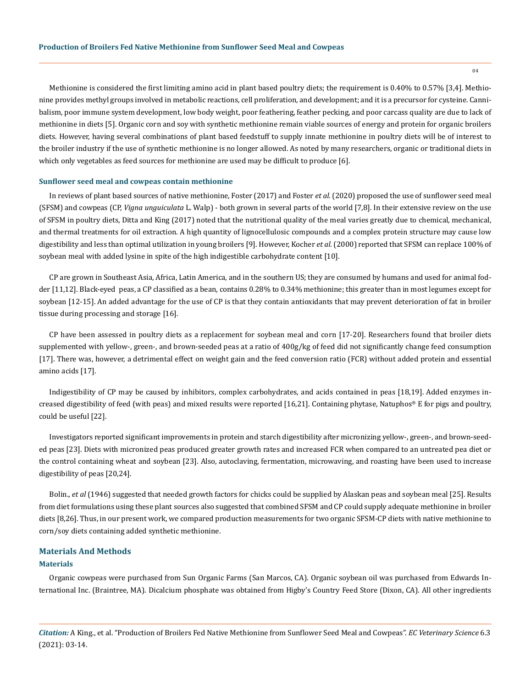Methionine is considered the first limiting amino acid in plant based poultry diets; the requirement is 0.40% to 0.57% [3,4]. Methionine provides methyl groups involved in metabolic reactions, cell proliferation, and development; and it is a precursor for cysteine. Cannibalism, poor immune system development, low body weight, poor feathering, feather pecking, and poor carcass quality are due to lack of methionine in diets [5]. Organic corn and soy with synthetic methionine remain viable sources of energy and protein for organic broilers diets. However, having several combinations of plant based feedstuff to supply innate methionine in poultry diets will be of interest to the broiler industry if the use of synthetic methionine is no longer allowed. As noted by many researchers, organic or traditional diets in which only vegetables as feed sources for methionine are used may be difficult to produce [6].

### **Sunflower seed meal and cowpeas contain methionine**

In reviews of plant based sources of native methionine, Foster (2017) and Foster *et al.* (2020) proposed the use of sunflower seed meal (SFSM) and cowpeas (CP, *Vigna unguiculata* L. Walp) - both grown in several parts of the world [7,8]. In their extensive review on the use of SFSM in poultry diets, Ditta and King (2017) noted that the nutritional quality of the meal varies greatly due to chemical, mechanical, and thermal treatments for oil extraction. A high quantity of lignocellulosic compounds and a complex protein structure may cause low digestibility and less than optimal utilization in young broilers [9]. However, Kocher *et al.* (2000) reported that SFSM can replace 100% of soybean meal with added lysine in spite of the high indigestible carbohydrate content [10].

CP are grown in Southeast Asia, Africa, Latin America, and in the southern US; they are consumed by humans and used for animal fodder [11,12]. Black-eyed peas, a CP classified as a bean, contains 0.28% to 0.34% methionine; this greater than in most legumes except for soybean [12-15]. An added advantage for the use of CP is that they contain antioxidants that may prevent deterioration of fat in broiler tissue during processing and storage [16].

CP have been assessed in poultry diets as a replacement for soybean meal and corn [17-20]. Researchers found that broiler diets supplemented with yellow-, green-, and brown-seeded peas at a ratio of 400g/kg of feed did not significantly change feed consumption [17]. There was, however, a detrimental effect on weight gain and the feed conversion ratio (FCR) without added protein and essential amino acids [17].

Indigestibility of CP may be caused by inhibitors, complex carbohydrates, and acids contained in peas [18,19]. Added enzymes increased digestibility of feed (with peas) and mixed results were reported [16,21]. Containing phytase, Natuphos® E for pigs and poultry, could be useful [22].

Investigators reported significant improvements in protein and starch digestibility after micronizing yellow-, green-, and brown-seeded peas [23]. Diets with micronized peas produced greater growth rates and increased FCR when compared to an untreated pea diet or the control containing wheat and soybean [23]. Also, autoclaving, fermentation, microwaving, and roasting have been used to increase digestibility of peas [20,24].

Bolin., *et al* (1946) suggested that needed growth factors for chicks could be supplied by Alaskan peas and soybean meal [25]. Results from diet formulations using these plant sources also suggested that combined SFSM and CP could supply adequate methionine in broiler diets [8,26]. Thus, in our present work, we compared production measurements for two organic SFSM-CP diets with native methionine to corn/soy diets containing added synthetic methionine.

## **Materials And Methods**

## **Materials**

Organic cowpeas were purchased from Sun Organic Farms (San Marcos, CA). Organic soybean oil was purchased from Edwards International Inc. (Braintree, MA). Dicalcium phosphate was obtained from Higby's Country Feed Store (Dixon, CA). All other ingredients

*Citation:* A King., et al. "Production of Broilers Fed Native Methionine from Sunflower Seed Meal and Cowpeas". *EC Veterinary Science* 6.3 (2021): 03-14.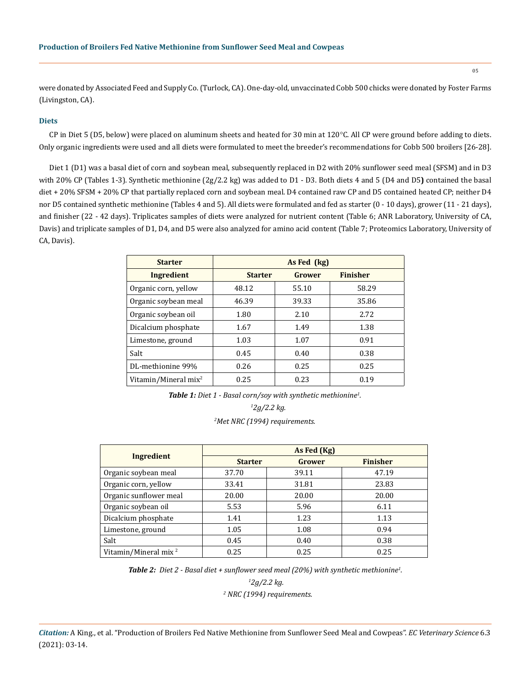were donated by Associated Feed and Supply Co. (Turlock, CA). One-day-old, unvaccinated Cobb 500 chicks were donated by Foster Farms (Livingston, CA).

## **Diets**

CP in Diet 5 (D5, below) were placed on aluminum sheets and heated for 30 min at 120°C. All CP were ground before adding to diets. Only organic ingredients were used and all diets were formulated to meet the breeder's recommendations for Cobb 500 broilers [26-28].

Diet 1 (D1) was a basal diet of corn and soybean meal, subsequently replaced in D2 with 20% sunflower seed meal (SFSM) and in D3 with 20% CP (Tables 1-3). Synthetic methionine (2g/2.2 kg) was added to D1 - D3. Both diets 4 and 5 (D4 and D5**)** contained the basal diet + 20% SFSM + 20% CP that partially replaced corn and soybean meal. D4 contained raw CP and D5 contained heated CP; neither D4 nor D5 contained synthetic methionine (Tables 4 and 5). All diets were formulated and fed as starter (0 - 10 days), grower (11 - 21 days), and finisher (22 - 42 days). Triplicates samples of diets were analyzed for nutrient content (Table 6; ANR Laboratory, University of CA, Davis) and triplicate samples of D1, D4, and D5 were also analyzed for amino acid content (Table 7; Proteomics Laboratory, University of CA, Davis).

| <b>Starter</b>                   | As Fed (kg)    |        |                 |  |  |  |  |  |  |
|----------------------------------|----------------|--------|-----------------|--|--|--|--|--|--|
| Ingredient                       | <b>Starter</b> | Grower | <b>Finisher</b> |  |  |  |  |  |  |
| Organic corn, yellow             | 48.12          | 55.10  | 58.29           |  |  |  |  |  |  |
| Organic soybean meal             | 46.39          | 39.33  | 35.86           |  |  |  |  |  |  |
| Organic soybean oil              | 1.80           | 2.10   | 2.72            |  |  |  |  |  |  |
| Dicalcium phosphate              | 1.67           | 1.49   | 1.38            |  |  |  |  |  |  |
| Limestone, ground                | 1.03           | 1.07   | 0.91            |  |  |  |  |  |  |
| Salt                             | 0.45           | 0.40   | 0.38            |  |  |  |  |  |  |
| DL-methionine 99%                | 0.26           | 0.25   | 0.25            |  |  |  |  |  |  |
| Vitamin/Mineral mix <sup>2</sup> | 0.25           | 0.23   | 0.19            |  |  |  |  |  |  |

*Table 1: Diet 1 - Basal corn/soy with synthetic methionine1 .*

 *1 2g/2.2 kg.* 

*2 Met NRC (1994) requirements.*

|                                  | As Fed (Kg)    |        |                 |  |  |  |  |  |  |
|----------------------------------|----------------|--------|-----------------|--|--|--|--|--|--|
| Ingredient                       | <b>Starter</b> | Grower | <b>Finisher</b> |  |  |  |  |  |  |
| Organic soybean meal             | 37.70          | 39.11  | 47.19           |  |  |  |  |  |  |
| Organic corn, yellow             | 33.41          | 31.81  | 23.83           |  |  |  |  |  |  |
| Organic sunflower meal           | 20.00          | 20.00  | 20.00           |  |  |  |  |  |  |
| Organic soybean oil              | 5.53           | 5.96   | 6.11            |  |  |  |  |  |  |
| Dicalcium phosphate              | 1.41           | 1.23   | 1.13            |  |  |  |  |  |  |
| Limestone, ground                | 1.05           | 1.08   | 0.94            |  |  |  |  |  |  |
| Salt                             | 0.45           | 0.40   | 0.38            |  |  |  |  |  |  |
| Vitamin/Mineral mix <sup>2</sup> | 0.25           | 0.25   | 0.25            |  |  |  |  |  |  |

*Table 2: Diet 2 - Basal diet + sunflower seed meal (20%) with synthetic methionine<sup>1</sup> .* 

 *2 NRC (1994) requirements.*

*<sup>1</sup> 2g/2.2 kg.*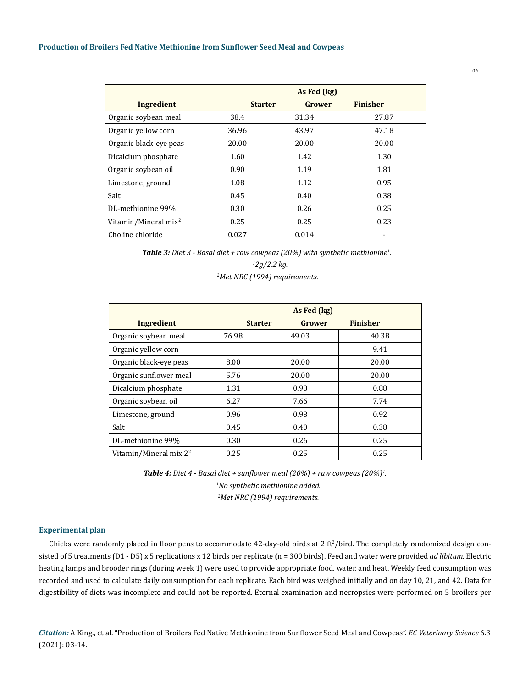|                                  | As Fed (kg)    |        |                 |  |  |  |  |  |  |
|----------------------------------|----------------|--------|-----------------|--|--|--|--|--|--|
| Ingredient                       | <b>Starter</b> | Grower | <b>Finisher</b> |  |  |  |  |  |  |
| Organic soybean meal             | 38.4           | 31.34  | 27.87           |  |  |  |  |  |  |
| Organic yellow corn              | 36.96          | 43.97  | 47.18           |  |  |  |  |  |  |
| Organic black-eye peas           | 20.00          | 20.00  | 20.00           |  |  |  |  |  |  |
| Dicalcium phosphate              | 1.60           | 1.42   | 1.30            |  |  |  |  |  |  |
| Organic soybean oil              | 0.90           | 1.19   | 1.81            |  |  |  |  |  |  |
| Limestone, ground                | 1.08           | 1.12   | 0.95            |  |  |  |  |  |  |
| Salt                             | 0.45           | 0.40   | 0.38            |  |  |  |  |  |  |
| DL-methionine 99%                | 0.30           | 0.26   | 0.25            |  |  |  |  |  |  |
| Vitamin/Mineral mix <sup>2</sup> | 0.25           | 0.25   | 0.23            |  |  |  |  |  |  |
| Choline chloride                 | 0.027          | 0.014  |                 |  |  |  |  |  |  |

*Table 3: Diet 3 - Basal diet + raw cowpeas (20%) with synthetic methionine<sup>1</sup> .*

> *1 2g/2.2 kg. 2 Met NRC (1994) requirements.*

|                           | As Fed (kg)    |        |                 |  |  |  |  |  |  |  |
|---------------------------|----------------|--------|-----------------|--|--|--|--|--|--|--|
| Ingredient                | <b>Starter</b> | Grower | <b>Finisher</b> |  |  |  |  |  |  |  |
| Organic soybean meal      | 76.98          | 49.03  | 40.38           |  |  |  |  |  |  |  |
| Organic yellow corn       |                |        | 9.41            |  |  |  |  |  |  |  |
| Organic black-eye peas    | 8.00           | 20.00  | 20.00           |  |  |  |  |  |  |  |
| Organic sunflower meal    | 5.76           | 20.00  | 20.00           |  |  |  |  |  |  |  |
| Dicalcium phosphate       | 1.31           | 0.98   | 0.88            |  |  |  |  |  |  |  |
| Organic soybean oil       | 6.27           | 7.66   | 7.74            |  |  |  |  |  |  |  |
| Limestone, ground         | 0.96           | 0.98   | 0.92            |  |  |  |  |  |  |  |
| Salt                      | 0.45           | 0.40   | 0.38            |  |  |  |  |  |  |  |
| DL-methionine 99%         | 0.30           | 0.26   | 0.25            |  |  |  |  |  |  |  |
| Vitamin/Mineral mix $2^2$ | 0.25           | 0.25   | 0.25            |  |  |  |  |  |  |  |

*Table 4: Diet 4 - Basal diet + sunflower meal (20%) + raw cowpeas (20%)<sup>1</sup> . 1 No synthetic methionine added. 2 Met NRC (1994) requirements.*

## **Experimental plan**

Chicks were randomly placed in floor pens to accommodate  $42$ -day-old birds at 2 ft<sup>2</sup>/bird. The completely randomized design consisted of 5 treatments (D1 - D5) x 5 replications x 12 birds per replicate (n = 300 birds). Feed and water were provided *ad libitum*. Electric heating lamps and brooder rings (during week 1) were used to provide appropriate food, water, and heat. Weekly feed consumption was recorded and used to calculate daily consumption for each replicate. Each bird was weighed initially and on day 10, 21, and 42. Data for digestibility of diets was incomplete and could not be reported. Eternal examination and necropsies were performed on 5 broilers per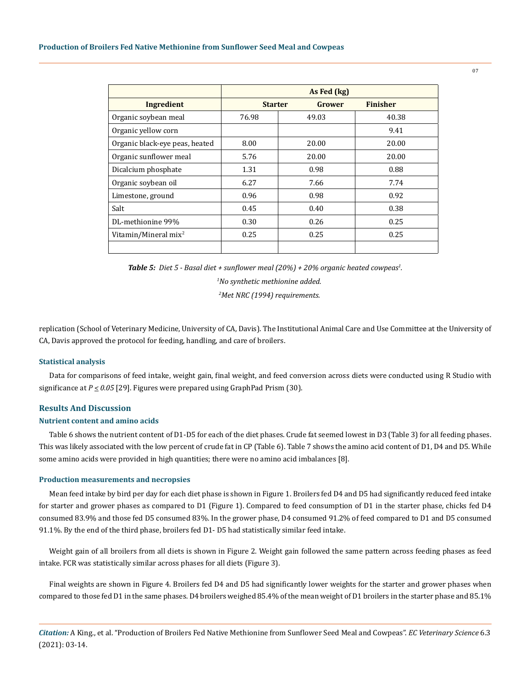|                                  | As Fed (kg)    |        |                 |  |  |  |  |  |  |
|----------------------------------|----------------|--------|-----------------|--|--|--|--|--|--|
| Ingredient                       | <b>Starter</b> | Grower | <b>Finisher</b> |  |  |  |  |  |  |
| Organic soybean meal             | 76.98          | 49.03  | 40.38           |  |  |  |  |  |  |
| Organic yellow corn              |                |        | 9.41            |  |  |  |  |  |  |
| Organic black-eye peas, heated   | 8.00           | 20.00  | 20.00           |  |  |  |  |  |  |
| Organic sunflower meal           | 5.76           | 20.00  | 20.00           |  |  |  |  |  |  |
| Dicalcium phosphate              | 1.31           | 0.98   | 0.88            |  |  |  |  |  |  |
| Organic soybean oil              | 6.27           | 7.66   | 7.74            |  |  |  |  |  |  |
| Limestone, ground                | 0.96           | 0.98   | 0.92            |  |  |  |  |  |  |
| Salt                             | 0.45           | 0.40   | 0.38            |  |  |  |  |  |  |
| DL-methionine 99%                | 0.30           | 0.26   | 0.25            |  |  |  |  |  |  |
| Vitamin/Mineral mix <sup>2</sup> | 0.25           | 0.25   | 0.25            |  |  |  |  |  |  |
|                                  |                |        |                 |  |  |  |  |  |  |

*Table 5: Diet 5 - Basal diet + sunflower meal (20%) + 20% organic heated cowpeas<sup>1</sup> .* 

 *1No synthetic methionine added.*

 *2 Met NRC (1994) requirements.*

replication (School of Veterinary Medicine, University of CA, Davis). The Institutional Animal Care and Use Committee at the University of CA, Davis approved the protocol for feeding, handling, and care of broilers.

#### **Statistical analysis**

Data for comparisons of feed intake, weight gain, final weight, and feed conversion across diets were conducted using R Studio with significance at *P < 0.05* [29]. Figures were prepared using GraphPad Prism (30).

## **Results And Discussion**

## **Nutrient content and amino acids**

Table 6 shows the nutrient content of D1-D5 for each of the diet phases. Crude fat seemed lowest in D3 (Table 3) for all feeding phases. This was likely associated with the low percent of crude fat in CP (Table 6). Table 7 shows the amino acid content of D1, D4 and D5. While some amino acids were provided in high quantities; there were no amino acid imbalances [8].

#### **Production measurements and necropsies**

Mean feed intake by bird per day for each diet phase is shown in Figure 1. Broilers fed D4 and D5 had significantly reduced feed intake for starter and grower phases as compared to D1 (Figure 1). Compared to feed consumption of D1 in the starter phase, chicks fed D4 consumed 83.9% and those fed D5 consumed 83%. In the grower phase, D4 consumed 91.2% of feed compared to D1 and D5 consumed 91.1%. By the end of the third phase, broilers fed D1- D5 had statistically similar feed intake.

Weight gain of all broilers from all diets is shown in Figure 2. Weight gain followed the same pattern across feeding phases as feed intake. FCR was statistically similar across phases for all diets (Figure 3).

Final weights are shown in Figure 4. Broilers fed D4 and D5 had significantly lower weights for the starter and grower phases when compared to those fed D1 in the same phases. D4 broilers weighed 85.4% of the mean weight of D1 broilers in the starter phase and 85.1%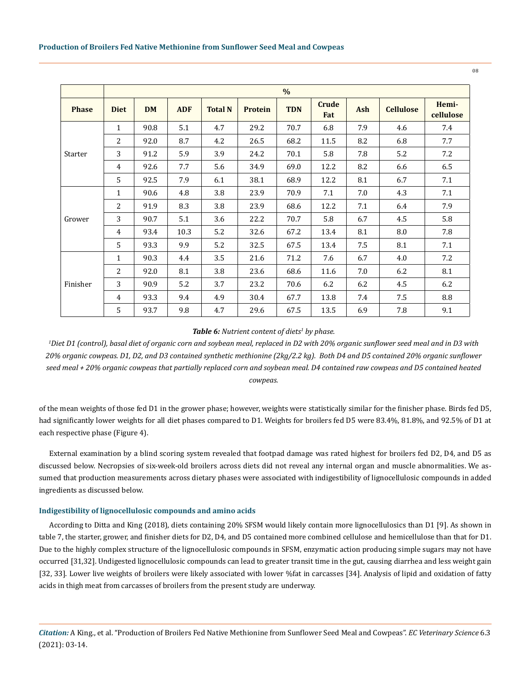|              |              |           |            |                |                | $\%$        |                     |            |                  |                    |
|--------------|--------------|-----------|------------|----------------|----------------|-------------|---------------------|------------|------------------|--------------------|
| <b>Phase</b> | <b>Diet</b>  | <b>DM</b> | <b>ADF</b> | <b>Total N</b> | <b>Protein</b> | <b>TDN</b>  | <b>Crude</b><br>Fat | <b>Ash</b> | <b>Cellulose</b> | Hemi-<br>cellulose |
|              | $\mathbf{1}$ | 90.8      | 5.1        | 4.7            | 29.2           | 70.7        | 6.8                 | 7.9<br>4.6 |                  | 7.4                |
|              | 2            | 92.0      | 8.7        | 4.2            | 26.5           | 68.2        | 11.5                | 8.2        | 6.8              | 7.7                |
| Starter      | 3            | 91.2      | 5.9        | 3.9            | 24.2           | 70.1        | 5.8                 | 7.8        | 5.2              | 7.2                |
|              | 4            | 92.6      | 7.7        | 5.6            | 34.9           | 69.0        | 12.2                | 8.2        | 6.6              | 6.5                |
|              | 5            | 92.5      | 7.9        | 6.1            | 38.1           | 68.9        | 8.1<br>12.2         |            | 6.7              | 7.1                |
| Grower       | 1            | 90.6      | 4.8        | 3.8            | 23.9           | 70.9        | 7.1                 | 7.0        | 4.3              | 7.1                |
|              | 2            | 91.9      | 8.3        | 3.8            | 23.9           | 68.6        | 12.2                | 7.1        | 6.4              | 7.9                |
|              | 3            | 90.7      | 5.1        | 3.6            | 22.2           | 70.7        | 5.8                 | 6.7        | 4.5              | 5.8                |
|              | 4            | 93.4      | 10.3       | 5.2            | 32.6           | 67.2        | 13.4                | 8.1        | 8.0              | 7.8                |
|              | 5            | 93.3      | 9.9        | 5.2            | 32.5           | 67.5        | 13.4                | 7.5        | 8.1              | 7.1                |
|              | 1            | 90.3      | 4.4        | 3.5            | 21.6           | 71.2<br>7.6 |                     | 6.7        | 4.0              | 7.2                |
|              | 2            | 92.0      | 8.1        | 3.8            | 23.6           | 68.6        | 11.6                | 7.0        | 6.2              | 8.1                |
| Finisher     | 3            | 90.9      | 5.2        | 3.7            | 23.2           | 70.6        | 6.2                 | 6.2        | 4.5              | 6.2                |
|              | 4            | 93.3      | 9.4        | 4.9            | 30.4           | 67.7        | 13.8                | 7.4        | 7.5              | 8.8                |
|              | 5            | 93.7      | 9.8        | 4.7            | 29.6           | 67.5        | 13.5                | 6.9        | 7.8              | 9.1                |

## Table 6: Nutrient content of diets<sup>1</sup> by phase.

*1 Diet D1 (control), basal diet of organic corn and soybean meal, replaced in D2 with 20% organic sunflower seed meal and in D3 with 20% organic cowpeas. D1, D2, and D3 contained synthetic methionine (2kg/2.2 kg). Both D4 and D5 contained 20% organic sunflower seed meal + 20% organic cowpeas that partially replaced corn and soybean meal. D4 contained raw cowpeas and D5 contained heated cowpeas.* 

of the mean weights of those fed D1 in the grower phase; however, weights were statistically similar for the finisher phase. Birds fed D5, had significantly lower weights for all diet phases compared to D1. Weights for broilers fed D5 were 83.4%, 81.8%, and 92.5% of D1 at each respective phase (Figure 4).

External examination by a blind scoring system revealed that footpad damage was rated highest for broilers fed D2, D4, and D5 as discussed below. Necropsies of six-week-old broilers across diets did not reveal any internal organ and muscle abnormalities. We assumed that production measurements across dietary phases were associated with indigestibility of lignocellulosic compounds in added ingredients as discussed below.

## **Indigestibility of lignocellulosic compounds and amino acids**

According to Ditta and King (2018), diets containing 20% SFSM would likely contain more lignocellulosics than D1 [9]. As shown in table 7, the starter, grower, and finisher diets for D2, D4, and D5 contained more combined cellulose and hemicellulose than that for D1. Due to the highly complex structure of the lignocellulosic compounds in SFSM, enzymatic action producing simple sugars may not have occurred [31,32]. Undigested lignocellulosic compounds can lead to greater transit time in the gut, causing diarrhea and less weight gain [32, 33]. Lower live weights of broilers were likely associated with lower %fat in carcasses [34]. Analysis of lipid and oxidation of fatty acids in thigh meat from carcasses of broilers from the present study are underway.

*Citation:* A King., et al. "Production of Broilers Fed Native Methionine from Sunflower Seed Meal and Cowpeas". *EC Veterinary Science* 6.3 (2021): 03-14.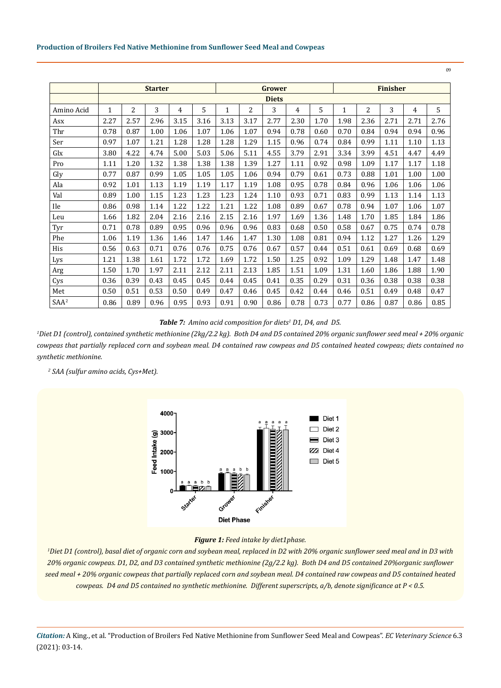|                  | <b>Starter</b> |      |      |      |      |      | <b>Grower</b> |      |      |      |      | <b>Finisher</b> |      |      |      |  |
|------------------|----------------|------|------|------|------|------|---------------|------|------|------|------|-----------------|------|------|------|--|
|                  | <b>Diets</b>   |      |      |      |      |      |               |      |      |      |      |                 |      |      |      |  |
| Amino Acid       | $\mathbf{1}$   | 2    | 3    | 4    | 5    | 1    | 2             | 3    | 4    | 5    | 1    | 2               | 3    | 4    | 5    |  |
| Asx              | 2.27           | 2.57 | 2.96 | 3.15 | 3.16 | 3.13 | 3.17          | 2.77 | 2.30 | 1.70 | 1.98 | 2.36            | 2.71 | 2.71 | 2.76 |  |
| Thr              | 0.78           | 0.87 | 1.00 | 1.06 | 1.07 | 1.06 | 1.07          | 0.94 | 0.78 | 0.60 | 0.70 | 0.84            | 0.94 | 0.94 | 0.96 |  |
| Ser              | 0.97           | 1.07 | 1.21 | 1.28 | 1.28 | 1.28 | 1.29          | 1.15 | 0.96 | 0.74 | 0.84 | 0.99            | 1.11 | 1.10 | 1.13 |  |
| Glx              | 3.80           | 4.22 | 4.74 | 5.00 | 5.03 | 5.06 | 5.11          | 4.55 | 3.79 | 2.91 | 3.34 | 3.99            | 4.51 | 4.47 | 4.49 |  |
| Pro              | 1.11           | 1.20 | 1.32 | 1.38 | 1.38 | 1.38 | 1.39          | 1.27 | 1.11 | 0.92 | 0.98 | 1.09            | 1.17 | 1.17 | 1.18 |  |
| Gly              | 0.77           | 0.87 | 0.99 | 1.05 | 1.05 | 1.05 | 1.06          | 0.94 | 0.79 | 0.61 | 0.73 | 0.88            | 1.01 | 1.00 | 1.00 |  |
| Ala              | 0.92           | 1.01 | 1.13 | 1.19 | 1.19 | 1.17 | 1.19          | 1.08 | 0.95 | 0.78 | 0.84 | 0.96            | 1.06 | 1.06 | 1.06 |  |
| Val              | 0.89           | 1.00 | 1.15 | 1.23 | 1.23 | 1.23 | 1.24          | 1.10 | 0.93 | 0.71 | 0.83 | 0.99            | 1.13 | 1.14 | 1.13 |  |
| <b>Ile</b>       | 0.86           | 0.98 | 1.14 | 1.22 | 1.22 | 1.21 | 1.22          | 1.08 | 0.89 | 0.67 | 0.78 | 0.94            | 1.07 | 1.06 | 1.07 |  |
| Leu              | 1.66           | 1.82 | 2.04 | 2.16 | 2.16 | 2.15 | 2.16          | 1.97 | 1.69 | 1.36 | 1.48 | 1.70            | 1.85 | 1.84 | 1.86 |  |
| Tyr              | 0.71           | 0.78 | 0.89 | 0.95 | 0.96 | 0.96 | 0.96          | 0.83 | 0.68 | 0.50 | 0.58 | 0.67            | 0.75 | 0.74 | 0.78 |  |
| Phe              | 1.06           | 1.19 | 1.36 | 1.46 | 1.47 | 1.46 | 1.47          | 1.30 | 1.08 | 0.81 | 0.94 | 1.12            | 1.27 | 1.26 | 1.29 |  |
| His              | 0.56           | 0.63 | 0.71 | 0.76 | 0.76 | 0.75 | 0.76          | 0.67 | 0.57 | 0.44 | 0.51 | 0.61            | 0.69 | 0.68 | 0.69 |  |
| Lys              | 1.21           | 1.38 | 1.61 | 1.72 | 1.72 | 1.69 | 1.72          | 1.50 | 1.25 | 0.92 | 1.09 | 1.29            | 1.48 | 1.47 | 1.48 |  |
| Arg              | 1.50           | 1.70 | 1.97 | 2.11 | 2.12 | 2.11 | 2.13          | 1.85 | 1.51 | 1.09 | 1.31 | 1.60            | 1.86 | 1.88 | 1.90 |  |
| Cys              | 0.36           | 0.39 | 0.43 | 0.45 | 0.45 | 0.44 | 0.45          | 0.41 | 0.35 | 0.29 | 0.31 | 0.36            | 0.38 | 0.38 | 0.38 |  |
| Met              | 0.50           | 0.51 | 0.53 | 0.50 | 0.49 | 0.47 | 0.46          | 0.45 | 0.42 | 0.44 | 0.46 | 0.51            | 0.49 | 0.48 | 0.47 |  |
| SAA <sup>2</sup> | 0.86           | 0.89 | 0.96 | 0.95 | 0.93 | 0.91 | 0.90          | 0.86 | 0.78 | 0.73 | 0.77 | 0.86            | 0.87 | 0.86 | 0.85 |  |

Table 7: Amino acid composition for diets<sup>1</sup> D1, D4, and D5.

*1 Diet D1 (control), contained synthetic methionine (2kg/2.2 kg). Both D4 and D5 contained 20% organic sunflower seed meal + 20% organic cowpeas that partially replaced corn and soybean meal. D4 contained raw cowpeas and D5 contained heated cowpeas; diets contained no synthetic methionine.*

 *2 SAA (sulfur amino acids, Cys+Met).*



# *Figure 1: Feed intake by diet1phase.*

*1 Diet D1 (control), basal diet of organic corn and soybean meal, replaced in D2 with 20% organic sunflower seed meal and in D3 with 20% organic cowpeas. D1, D2, and D3 contained synthetic methionine (2g/2.2 kg). Both D4 and D5 contained 20%organic sunflower seed meal + 20% organic cowpeas that partially replaced corn and soybean meal. D4 contained raw cowpeas and D5 contained heated cowpeas. D4 and D5 contained no synthetic methionine. Different superscripts, a/b, denote significance at P < 0.5.*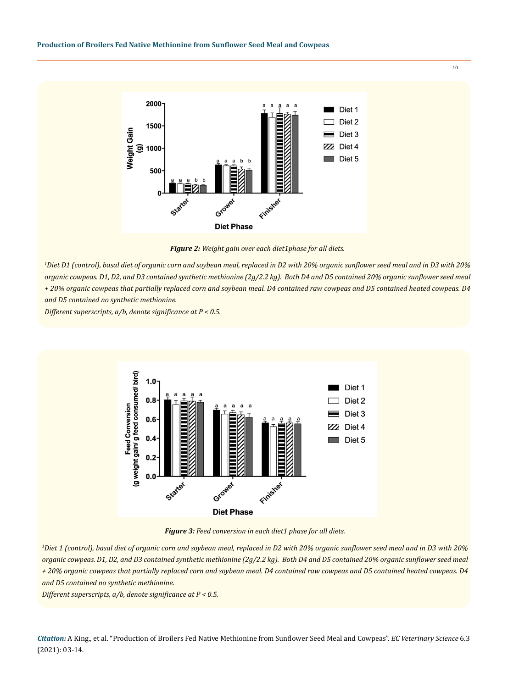

*Figure 2: Weight gain over each diet1phase for all diets.* 

*1 Diet D1 (control), basal diet of organic corn and soybean meal, replaced in D2 with 20% organic sunflower seed meal and in D3 with 20% organic cowpeas. D1, D2, and D3 contained synthetic methionine (2g/2.2 kg). Both D4 and D5 contained 20% organic sunflower seed meal + 20% organic cowpeas that partially replaced corn and soybean meal. D4 contained raw cowpeas and D5 contained heated cowpeas. D4 and D5 contained no synthetic methionine.*

*Different superscripts, a/b, denote significance at P < 0.5.* 



*Figure 3: Feed conversion in each diet1 phase for all diets.*

*1 Diet 1 (control), basal diet of organic corn and soybean meal, replaced in D2 with 20% organic sunflower seed meal and in D3 with 20% organic cowpeas. D1, D2, and D3 contained synthetic methionine (2g/2.2 kg). Both D4 and D5 contained 20% organic sunflower seed meal + 20% organic cowpeas that partially replaced corn and soybean meal. D4 contained raw cowpeas and D5 contained heated cowpeas. D4 and D5 contained no synthetic methionine.*

*Different superscripts, a/b, denote significance at P < 0.5.*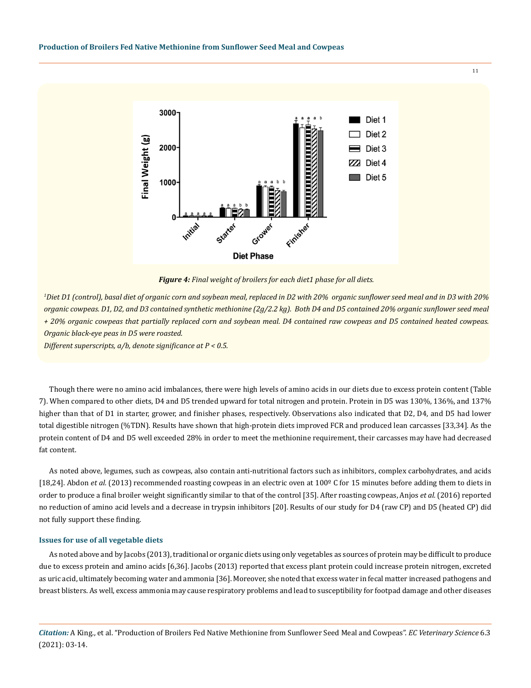

*Figure 4: Final weight of broilers for each diet1 phase for all diets.* 

*1 Diet D1 (control), basal diet of organic corn and soybean meal, replaced in D2 with 20% organic sunflower seed meal and in D3 with 20% organic cowpeas. D1, D2, and D3 contained synthetic methionine (2g/2.2 kg). Both D4 and D5 contained 20% organic sunflower seed meal + 20% organic cowpeas that partially replaced corn and soybean meal. D4 contained raw cowpeas and D5 contained heated cowpeas. Organic black-eye peas in D5 were roasted.*

*Different superscripts, a/b, denote significance at P < 0.5.* 

Though there were no amino acid imbalances, there were high levels of amino acids in our diets due to excess protein content (Table 7). When compared to other diets, D4 and D5 trended upward for total nitrogen and protein. Protein in D5 was 130%, 136%, and 137% higher than that of D1 in starter, grower, and finisher phases, respectively. Observations also indicated that D2, D4, and D5 had lower total digestible nitrogen (%TDN). Results have shown that high‐protein diets improved FCR and produced lean carcasses [33,34]. As the protein content of D4 and D5 well exceeded 28% in order to meet the methionine requirement, their carcasses may have had decreased fat content.

As noted above, legumes, such as cowpeas, also contain anti-nutritional factors such as inhibitors, complex carbohydrates, and acids [18,24]. Abdon *et al.* (2013) recommended roasting cowpeas in an electric oven at 100º C for 15 minutes before adding them to diets in order to produce a final broiler weight significantly similar to that of the control [35]. After roasting cowpeas, Anjos *et al.* (2016) reported no reduction of amino acid levels and a decrease in trypsin inhibitors [20]. Results of our study for D4 (raw CP) and D5 (heated CP) did not fully support these finding.

## **Issues for use of all vegetable diets**

As noted above and by Jacobs (2013), traditional or organic diets using only vegetables as sources of protein may be difficult to produce due to excess protein and amino acids [6,36]. Jacobs (2013) reported that excess plant protein could increase protein nitrogen, excreted as uric acid, ultimately becoming water and ammonia [36]. Moreover, she noted that excess water in fecal matter increased pathogens and breast blisters. As well, excess ammonia may cause respiratory problems and lead to susceptibility for footpad damage and other diseases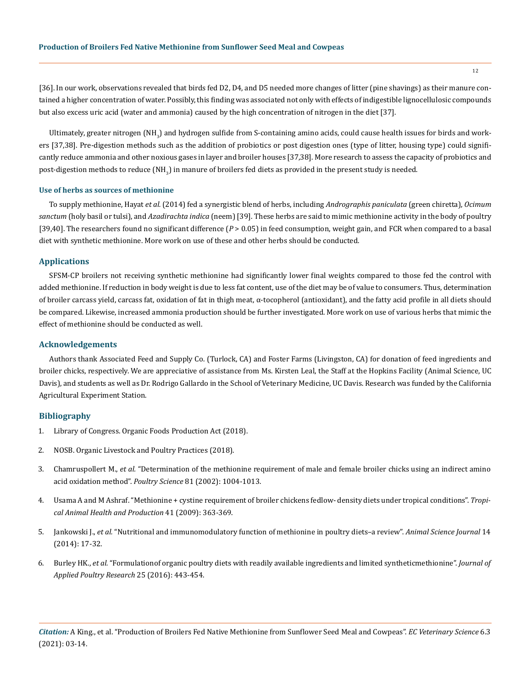[36]. In our work, observations revealed that birds fed D2, D4, and D5 needed more changes of litter (pine shavings) as their manure contained a higher concentration of water. Possibly, this finding was associated not only with effects of indigestible lignocellulosic compounds but also excess uric acid (water and ammonia) caused by the high concentration of nitrogen in the diet [37].

Ultimately, greater nitrogen (NH<sub>3</sub>) and hydrogen sulfide from S-containing amino acids, could cause health issues for birds and workers [37,38]. Pre-digestion methods such as the addition of probiotics or post digestion ones (type of litter, housing type) could significantly reduce ammonia and other noxious gases in layer and broiler houses [37,38]. More research to assess the capacity of probiotics and post-digestion methods to reduce (NH $_{\rm 3}$ ) in manure of broilers fed diets as provided in the present study is needed.

## **Use of herbs as sources of methionine**

To supply methionine, Hayat *et al.* (2014) fed a synergistic blend of herbs, including *Andrographis paniculata* (green chiretta), *Ocimum sanctum* (holy basil or tulsi), and *Azadirachta indica* (neem) [39]*.* These herbs are said to mimic methionine activity in the body of poultry [39,40]. The researchers found no significant difference ( $P > 0.05$ ) in feed consumption, weight gain, and FCR when compared to a basal diet with synthetic methionine. More work on use of these and other herbs should be conducted.

## **Applications**

SFSM-CP broilers not receiving synthetic methionine had significantly lower final weights compared to those fed the control with added methionine. If reduction in body weight is due to less fat content, use of the diet may be of value to consumers. Thus, determination of broiler carcass yield, carcass fat, oxidation of fat in thigh meat, α-tocopherol (antioxidant), and the fatty acid profile in all diets should be compared. Likewise, increased ammonia production should be further investigated. More work on use of various herbs that mimic the effect of methionine should be conducted as well.

## **Acknowledgements**

Authors thank Associated Feed and Supply Co. (Turlock, CA) and Foster Farms (Livingston, CA) for donation of feed ingredients and broiler chicks, respectively. We are appreciative of assistance from Ms. Kirsten Leal, the Staff at the Hopkins Facility (Animal Science, UC Davis), and students as well as Dr. Rodrigo Gallardo in the School of Veterinary Medicine, UC Davis. Research was funded by the California Agricultural Experiment Station.

## **Bibliography**

- 1. Library of Congress. Organic Foods Production Act (2018).
- 2. NOSB. Organic Livestock and Poultry Practices (2018).
- 3. Chamruspollert M., *et al.* ["Determination of the methionine requirement of male and female broiler chicks using an indirect amino](https://pubmed.ncbi.nlm.nih.gov/12162337/) [acid oxidation method".](https://pubmed.ncbi.nlm.nih.gov/12162337/) *Poultry Science* 81 (2002): 1004-1013.
- 4. [Usama A and M Ashraf. "Methionine + cystine requirement of broiler chickens fedlow‐ density diets under tropical conditions".](https://pubmed.ncbi.nlm.nih.gov/18607766/) *Tropi[cal Animal Health and Production](https://pubmed.ncbi.nlm.nih.gov/18607766/)* 41 (2009): 363-369.
- 5. Jankowski J., *et al.* ["Nutritional and immunomodulatory function of methionine in poultry diets–a review".](https://www.researchgate.net/publication/272263665_Nutritional_and_immunomodulatory_function_of_methionine_in_poultry_diets_-_A_review) *Animal Science Journal* 14 [\(2014\): 17-32.](https://www.researchgate.net/publication/272263665_Nutritional_and_immunomodulatory_function_of_methionine_in_poultry_diets_-_A_review)
- 6. Burley HK., *et al.* ["Formulationof organic poultry diets with readily available ingredients and limited syntheticmethionine".](https://www.sciencedirect.com/science/article/pii/S1056617119302521) *Journal of [Applied Poultry Research](https://www.sciencedirect.com/science/article/pii/S1056617119302521)* 25 (2016): 443-454.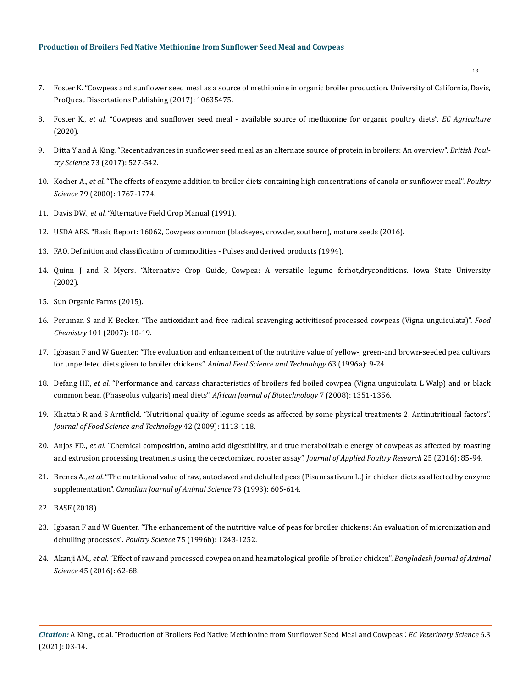- 7. Foster K. "Cowpeas and sunflower seed meal as a source of methionine in organic broiler production. University of California, Davis, ProQuest Dissertations Publishing (2017): 10635475.
- 8. Foster K., *et al.* ["Cowpeas and sunflower seed meal available source of methionine for organic poultry diets".](https://www.semanticscholar.org/paper/Cowpeas-and-Sunflower-Seed-Meal-Available-Sources-Foster-Mienaltowski/09b2a8c4e667a17ada5388aff8a10f755d8c01b5) *EC Agriculture* [\(2020\).](https://www.semanticscholar.org/paper/Cowpeas-and-Sunflower-Seed-Meal-Available-Sources-Foster-Mienaltowski/09b2a8c4e667a17ada5388aff8a10f755d8c01b5)
- 9. [Ditta Y and A King. "Recent advances in sunflower seed meal as an alternate source of protein in broilers: An overview".](https://www.cambridge.org/core/journals/world-s-poultry-science-journal/article/abs/recent-advances-in-sunflower-seed-meal-as-an-alternate-source-of-protein-in-broilers/4C0779EE05E3DB16DC58CC344AE969A7) *British Poultry Science* [73 \(2017\): 527-542.](https://www.cambridge.org/core/journals/world-s-poultry-science-journal/article/abs/recent-advances-in-sunflower-seed-meal-as-an-alternate-source-of-protein-in-broilers/4C0779EE05E3DB16DC58CC344AE969A7)
- 10. Kocher A., *et al.* ["The effects of enzyme addition to broiler diets containing high concentrations of canola or sunflower meal".](https://www.sciencedirect.com/science/article/pii/S0032579119416672) *Poultry Science* [79 \(2000\): 1767-1774.](https://www.sciencedirect.com/science/article/pii/S0032579119416672)
- 11. Davis DW., *et al.* ["Alternative Field Crop Manual \(1991\).](http://docshare03.docshare.tips/files/4774/47746137.pdf)
- 12. USDA ARS. "Basic Report: 16062, Cowpeas common (blackeyes, crowder, southern), mature seeds (2016).
- 13. [FAO. Definition and classification of commodities Pulses and derived products \(1994\).](http://www.fao.org/es/faodef/fdef04e.htmá)
- 14. Quinn J and R Myers. "Alternative Crop Guide, Cowpea: A versatile legume forhot,dryconditions. Iowa State University (2002).
- 15. Sun Organic Farms (2015).
- 16. [Peruman S and K Becker. "The antioxidant and free radical scavenging activitiesof processed cowpeas \(Vigna unguiculata\)".](https://www.sciencedirect.com/science/article/abs/pii/S0308814606000367) *Food Chemistry* [101 \(2007\): 10-19.](https://www.sciencedirect.com/science/article/abs/pii/S0308814606000367)
- 17. [Igbasan F and W Guenter. "The evaluation and enhancement of the nutritive value of yellow-, green-and brown-seeded pea cultivars](https://www.sciencedirect.com/science/article/abs/pii/S0377840196010450) [for unpelleted diets given to broiler chickens".](https://www.sciencedirect.com/science/article/abs/pii/S0377840196010450) *Animal Feed Science and Technology* 63 (1996a): 9-24.
- 18. Defang HF., *et al.* ["Performance and carcass characteristics of broilers fed boiled cowpea \(Vigna unguiculata L Walp\) and or black](https://www.researchgate.net/publication/27798293_Performance_and_carcass_characteristics_of_broilers_fed_boiled_cowpea_Vigna_unguiculata_L_Walp_and_or_black_common_bean_Phaseolus_vulgaris_meal_diets) [common bean \(Phaseolus vulgaris\) meal diets".](https://www.researchgate.net/publication/27798293_Performance_and_carcass_characteristics_of_broilers_fed_boiled_cowpea_Vigna_unguiculata_L_Walp_and_or_black_common_bean_Phaseolus_vulgaris_meal_diets) *African Journal of Biotechnology* 7 (2008): 1351-1356.
- 19. [Khattab R and S Arntfield. "Nutritional quality of legume seeds as affected by some physical treatments 2. Antinutritional factors".](https://www.sciencedirect.com/science/article/abs/pii/S0023643809000346á) *[Journal of Food Science and Technology](https://www.sciencedirect.com/science/article/abs/pii/S0023643809000346á)* 42 (2009): 1113-118.
- 20. Anjos FD., *et al.* ["Chemical composition, amino acid digestibility, and true metabolizable energy of cowpeas as affected by roasting](https://www.sciencedirect.com/science/article/pii/S1056617119302120) [and extrusion processing treatments using the cecectomized rooster assay".](https://www.sciencedirect.com/science/article/pii/S1056617119302120) *Journal of Applied Poultry Research* 25 (2016): 85-94.
- 21. Brenes A., *et al.* ["The nutritional value of raw, autoclaved and dehulled peas \(Pisum sativum L.\) in chicken diets as affected by enzyme](https://cdnsciencepub.com/doi/10.4141/cjas93-064) supplementation". *[Canadian Journal of Animal Science](https://cdnsciencepub.com/doi/10.4141/cjas93-064)* 73 (1993): 605-614.
- 22. BASF (2018).
- 23. [Igbasan F and W Guenter. "The enhancement of the nutritive value of peas for broiler chickens: An evaluation of micronization and](https://pubmed.ncbi.nlm.nih.gov/8893301/) dehulling processes". *Poultry Science* [75 \(1996b\): 1243-1252.](https://pubmed.ncbi.nlm.nih.gov/8893301/)
- 24. Akanji AM., *et al.* ["Effect of raw and processed cowpea onand heamatological profile of broiler chicken".](https://www.banglajol.info/index.php/BJAS/article/view/27490) *Bangladesh Journal of Animal Science* [45 \(2016\): 62-68.](https://www.banglajol.info/index.php/BJAS/article/view/27490)

*Citation:* A King., et al. "Production of Broilers Fed Native Methionine from Sunflower Seed Meal and Cowpeas". *EC Veterinary Science* 6.3 (2021): 03-14.